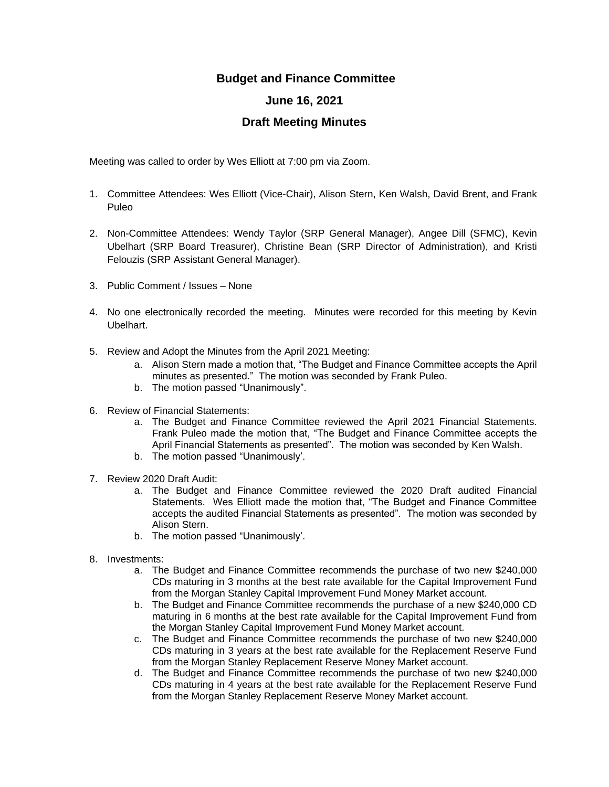## **Budget and Finance Committee**

## **June 16, 2021**

## **Draft Meeting Minutes**

Meeting was called to order by Wes Elliott at 7:00 pm via Zoom.

- 1. Committee Attendees: Wes Elliott (Vice-Chair), Alison Stern, Ken Walsh, David Brent, and Frank Puleo
- 2. Non-Committee Attendees: Wendy Taylor (SRP General Manager), Angee Dill (SFMC), Kevin Ubelhart (SRP Board Treasurer), Christine Bean (SRP Director of Administration), and Kristi Felouzis (SRP Assistant General Manager).
- 3. Public Comment / Issues None
- 4. No one electronically recorded the meeting. Minutes were recorded for this meeting by Kevin Ubelhart.
- 5. Review and Adopt the Minutes from the April 2021 Meeting:
	- a. Alison Stern made a motion that, "The Budget and Finance Committee accepts the April minutes as presented." The motion was seconded by Frank Puleo.
	- b. The motion passed "Unanimously".
- 6. Review of Financial Statements:
	- a. The Budget and Finance Committee reviewed the April 2021 Financial Statements. Frank Puleo made the motion that, "The Budget and Finance Committee accepts the April Financial Statements as presented". The motion was seconded by Ken Walsh.
	- b. The motion passed "Unanimously'.
- 7. Review 2020 Draft Audit:
	- a. The Budget and Finance Committee reviewed the 2020 Draft audited Financial Statements. Wes Elliott made the motion that, "The Budget and Finance Committee accepts the audited Financial Statements as presented". The motion was seconded by Alison Stern.
	- b. The motion passed "Unanimously'.
- 8. Investments:
	- a. The Budget and Finance Committee recommends the purchase of two new \$240,000 CDs maturing in 3 months at the best rate available for the Capital Improvement Fund from the Morgan Stanley Capital Improvement Fund Money Market account.
	- b. The Budget and Finance Committee recommends the purchase of a new \$240,000 CD maturing in 6 months at the best rate available for the Capital Improvement Fund from the Morgan Stanley Capital Improvement Fund Money Market account.
	- c. The Budget and Finance Committee recommends the purchase of two new \$240,000 CDs maturing in 3 years at the best rate available for the Replacement Reserve Fund from the Morgan Stanley Replacement Reserve Money Market account.
	- d. The Budget and Finance Committee recommends the purchase of two new \$240,000 CDs maturing in 4 years at the best rate available for the Replacement Reserve Fund from the Morgan Stanley Replacement Reserve Money Market account.